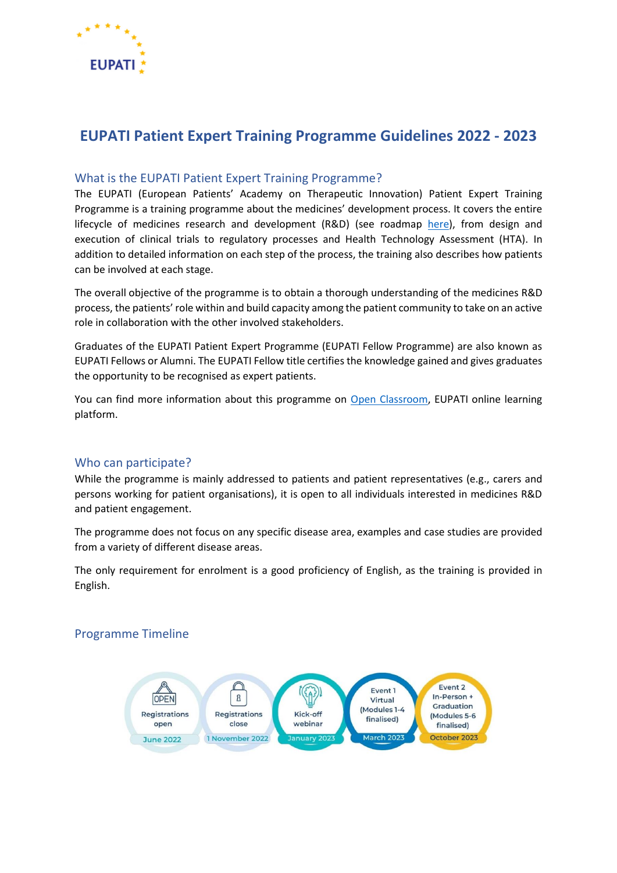

# **EUPATI Patient Expert Training Programme Guidelines 2022 - 2023**

# What is the EUPATI Patient Expert Training Programme?

The EUPATI (European Patients' Academy on Therapeutic Innovation) Patient Expert Training Programme is a training programme about the medicines' development process. It covers the entire lifecycle of medicines research and development (R&D) (see roadmap [here\)](https://toolbox.eupati.eu/resources-guidance/patient-engagement-roadmap/), from design and execution of clinical trials to regulatory processes and Health Technology Assessment (HTA). In addition to detailed information on each step of the process, the training also describes how patients can be involved at each stage.

The overall objective of the programme is to obtain a thorough understanding of the medicines R&D process, the patients' role within and build capacity among the patient community to take on an active role in collaboration with the other involved stakeholders.

Graduates of the EUPATI Patient Expert Programme (EUPATI Fellow Programme) are also known as EUPATI Fellows or Alumni. The EUPATI Fellow title certifies the knowledge gained and gives graduates the opportunity to be recognised as expert patients.

You can find more information about this programme on [Open Classroom,](https://learning.eupati.eu/) EUPATI online learning platform.

### Who can participate?

While the programme is mainly addressed to patients and patient representatives (e.g., carers and persons working for patient organisations), it is open to all individuals interested in medicines R&D and patient engagement.

The programme does not focus on any specific disease area, examples and case studies are provided from a variety of different disease areas.

The only requirement for enrolment is a good proficiency of English, as the training is provided in English.

# Programme Timeline

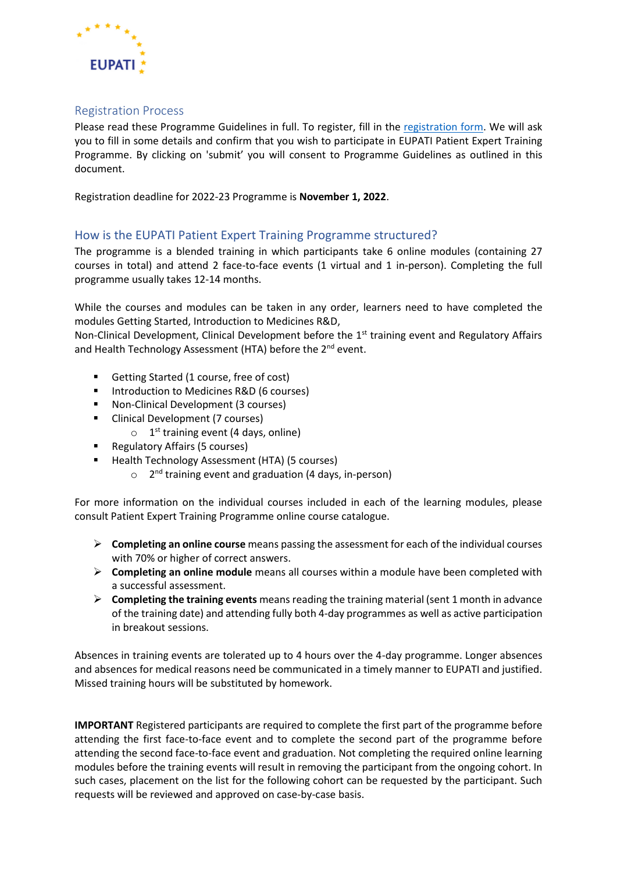

## Registration Process

Please read these Programme Guidelines in full. To register, fill in the [registration form.](https://forms.office.com/Pages/DesignPageV2.aspx?origin=NeoPortalPage&subpage=design&id=Vu0aDBx9LE6-JSwt14MeQn1OYXbnZtJGiAyN8cV2Z7RUQkdYU1g0V1lGS1RLWlAzTkFPQlZRWEhYTiQlQCN0PWcu) We will ask you to fill in some details and confirm that you wish to participate in EUPATI Patient Expert Training Programme. By clicking on 'submit' you will consent to Programme Guidelines as outlined in this document.

Registration deadline for 2022-23 Programme is **November 1, 2022**.

# How is the EUPATI Patient Expert Training Programme structured?

The programme is a blended training in which participants take 6 online modules (containing 27 courses in total) and attend 2 face-to-face events (1 virtual and 1 in-person). Completing the full programme usually takes 12-14 months.

While the courses and modules can be taken in any order, learners need to have completed the modules Getting Started, Introduction to Medicines R&D,

Non-Clinical Development, Clinical Development before the 1<sup>st</sup> training event and Regulatory Affairs and Health Technology Assessment (HTA) before the 2<sup>nd</sup> event.

- Getting Started (1 course, free of cost)
- Introduction to Medicines R&D (6 courses)
- Non-Clinical Development (3 courses)
- Clinical Development (7 courses)
	- $\circ$  1<sup>st</sup> training event (4 days, online)
- Regulatory Affairs (5 courses)
- Health Technology Assessment (HTA) (5 courses)
	- o 2<sup>nd</sup> training event and graduation (4 days, in-person)

For more information on the individual courses included in each of the learning modules, please consult Patient Expert Training Programme online course catalogue.

- ➢ **Completing an online course** means passing the assessment for each of the individual courses with 70% or higher of correct answers.
- ➢ **Completing an online module** means all courses within a module have been completed with a successful assessment.
- ➢ **Completing the training events** means reading the training material (sent 1 month in advance of the training date) and attending fully both 4-day programmes as well as active participation in breakout sessions.

Absences in training events are tolerated up to 4 hours over the 4-day programme. Longer absences and absences for medical reasons need be communicated in a timely manner to EUPATI and justified. Missed training hours will be substituted by homework.

**IMPORTANT** Registered participants are required to complete the first part of the programme before attending the first face-to-face event and to complete the second part of the programme before attending the second face-to-face event and graduation. Not completing the required online learning modules before the training events will result in removing the participant from the ongoing cohort. In such cases, placement on the list for the following cohort can be requested by the participant. Such requests will be reviewed and approved on case-by-case basis.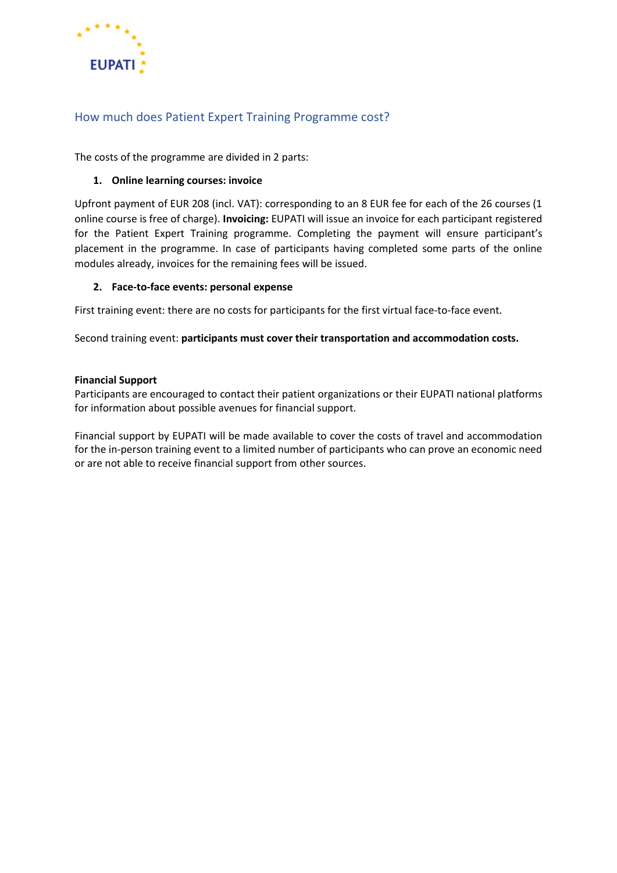

# How much does Patient Expert Training Programme cost?

The costs of the programme are divided in 2 parts:

#### **1. Online learning courses: invoice**

Upfront payment of EUR 208 (incl. VAT): corresponding to an 8 EUR fee for each of the 26 courses (1 online course is free of charge). **Invoicing:** EUPATI will issue an invoice for each participant registered for the Patient Expert Training programme. Completing the payment will ensure participant's placement in the programme. In case of participants having completed some parts of the online modules already, invoices for the remaining fees will be issued.

#### **2. Face-to-face events: personal expense**

First training event: there are no costs for participants for the first virtual face-to-face event.

Second training event: **participants must cover their transportation and accommodation costs.**

#### **Financial Support**

Participants are encouraged to contact their patient organizations or their EUPATI national platforms for information about possible avenues for financial support.

Financial support by EUPATI will be made available to cover the costs of travel and accommodation for the in-person training event to a limited number of participants who can prove an economic need or are not able to receive financial support from other sources.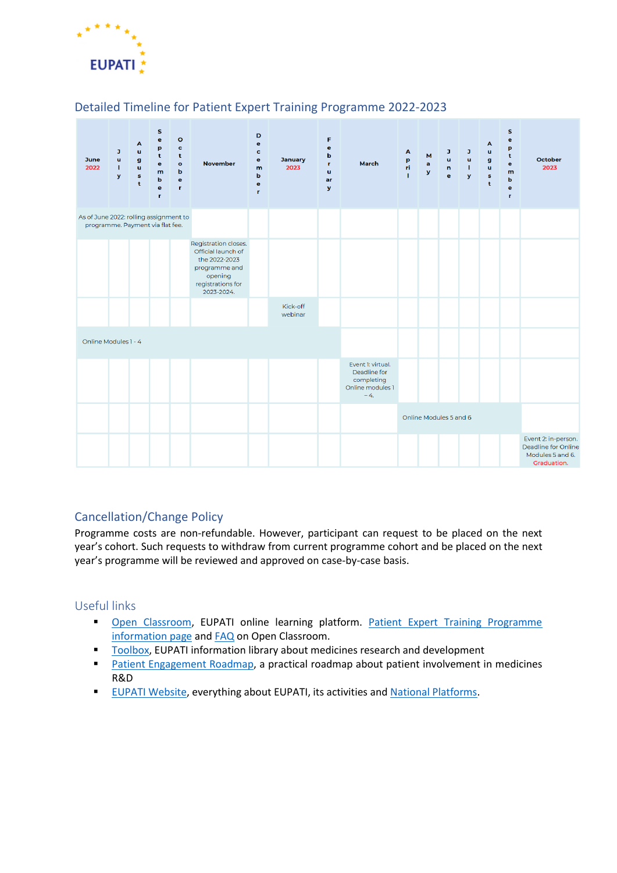

# Detailed Timeline for Patient Expert Training Programme 2022-2023



# Cancellation/Change Policy

Programme costs are non-refundable. However, participant can request to be placed on the next year's cohort. Such requests to withdraw from current programme cohort and be placed on the next year's programme will be reviewed and approved on case-by-case basis.

### Useful links

- [Open Classroom,](https://learning.eupati.eu/) EUPATI online learning platform. [Patient Expert Training Programme](https://learning.eupati.eu/mod/page/view.php?id=438&forceview=1)  [information page](https://learning.eupati.eu/mod/page/view.php?id=438&forceview=1) and [FAQ](https://learning.eupati.eu/mod/page/view.php?id=211) on Open Classroom.
- [Toolbox,](https://toolbox.eupati.eu/) EUPATI information library about medicines research and development
- [Patient Engagement Roadmap,](https://toolbox.eupati.eu/resources-guidance/patient-engagement-roadmap/) a practical roadmap about patient involvement in medicines R&D
- **[EUPATI Website,](https://eupati.eu/) everything about EUPATI, its activities an[d National Platforms.](https://eupati.eu/national-platforms/)**